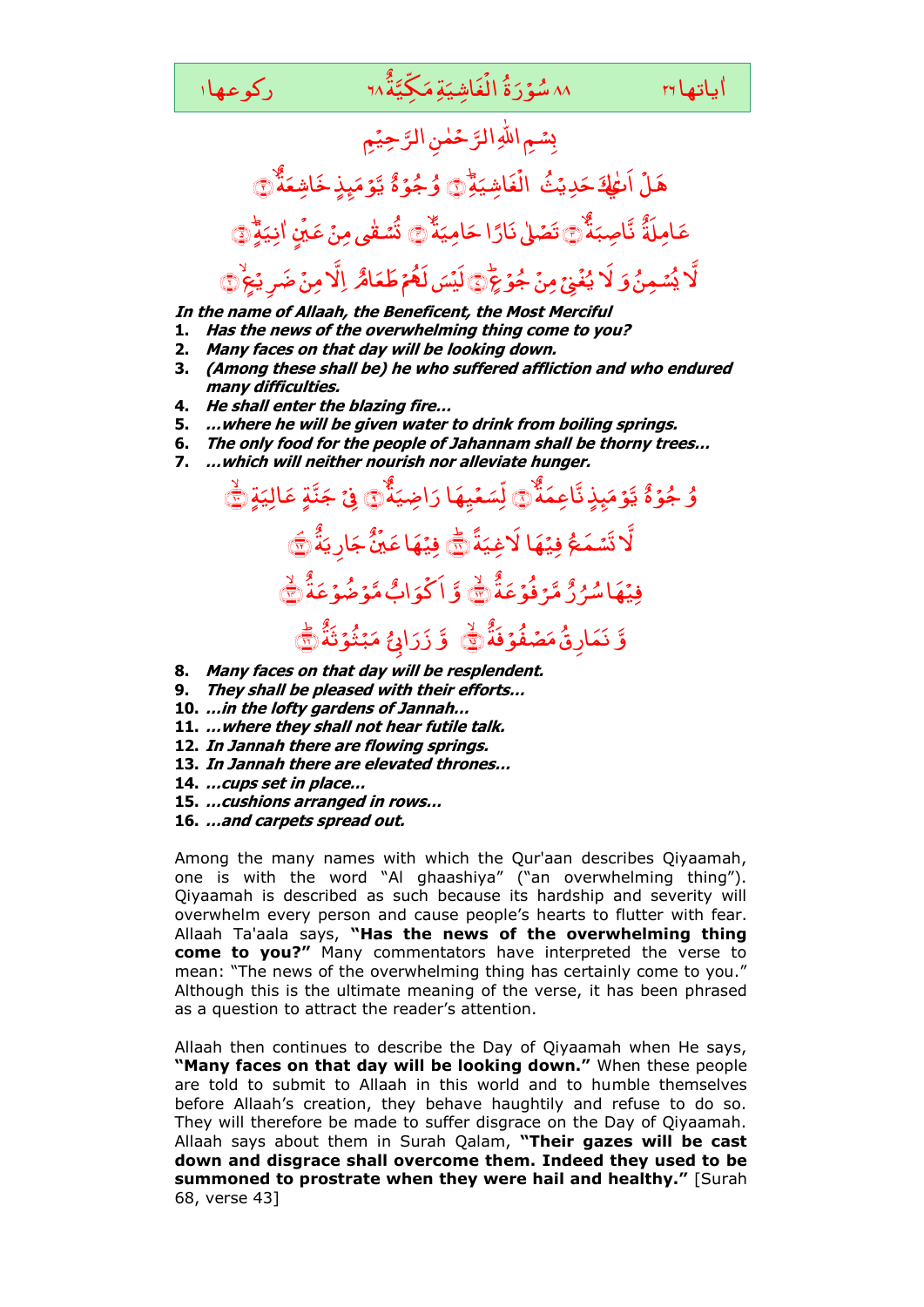٨٨ سُوۡرَةُ الۡغَاشِيَةِمَكِيَّةُ ١٢ َ و<br><mark>سۇ</mark>ر ٌ ةِ مَكِّيَّة*ُ* َ اِشی َ غ ۔<br>• یاتھا ۲۹ سیم میں تھا ایک اس کے تاکیف کہ ا

ٰ اباتهاrا

## <sub>ئ</sub>ِ جِيْمِ حَمٰنِ الرَّ سُمِ اللهِ الرَّ ِ ْ هَلْ اَعْطِهَ حَدِيثُ <sub>َ</sub><br>مَدِيَّ لَمَ حَدِيثُ الْغَاشِيَةِ َ اِشی َ غ ْ الُغَاشِيَةِّ وَ وُجُوَّهُ ُ و ٌ <sub>ۼ</sub>ۭذٍ خَاشِعَةٌ ام<br>ا يَّوۡمَىٰۭذِڂَاشِعَهُۚ۞ ِ<br>و عَامِلَةٌ ٌ ء<br>ذ نَّاصِبَةٌ ۚ تَصَلْىٰ نَارًا حَامِيَةٌ َ اِمی َ تَصۡلٰىٰ نَارًا حَامِيَةٌ ﴾ تُسۡـٰقٰى مِنۡ عَيۡنِ .<br>, .<br>شق<mark>ى مِنْ عَيْنٍ</mark> ٰ نَّسَقٰى مِنۡ عَيۡنِ اٰنِيَةٍ انِیَوْ ۲ ٰ لَهُمۡ طَعَامُ َ وَ لَا يُغْنِيۡ مِنۡ جُوۡ يَمَّ۞ لَيۡسَ لَعُمۡ طَعَامٌ ۚ إِلَّا مِنۡ ضَرِيۡجُ ۞ ِ<br>ٖۘۺڝڽ<mark>۠</mark> .<br>`` يُسۡمِنُ وَ لَا يُغۡ*يۡ ۚ مِنۡ جُوۡ عَۭ* غ ُ لَا يُغُنِيَ مِنۡ جُوۡ عٖٓ ﴾

**In the name of Allaah, the Beneficent, the Most Merciful** 

- **1. Has the news of the overwhelming thing come to you?**
- **2. Many faces on that day will be looking down.**
- **3. (Among these shall be) he who suffered affliction and who endured many difficulties.**
- **4. He shall enter the blazing fire…**
- **5. …where he will be given water to drink from boiling springs.**
- **6. The only food for the people of Jahannam shall be thorny trees…**
- **7. …which will neither nourish nor alleviate hunger.**

## ُ ۇ جُۇهٌ ٌ بِذٍ نَّاعِمَةً ام<br>ا يَّوۡمَىِذٍ تَّاعِمَةٌۚ۞ لِّسَعۡيِهَا َ لِّ ٍ<br>∕? ۃ رَاضِيَ رَاضِيَةٌۖ۞ فِیۡ جَنَّةٍ ؘ<br>ٛ جَنَّةٍ عَالِيَةِ عَالِیَةٍ ۣ .<br>ئىمَې لَّا تَسَمَعُ فِيۡهَا لَاغِيَةً ا<br>ا **َلَاغِیَةً** ﷺ ٌ ۃ َ ِ ی ار َ جَ وي فِيۡهَاعَيۡنَۢۚ جَارِيَهٗٛ۞ ٌ ۇ مَّرۡ فُوۡعَهُ ُ فِيۡهَاسُرُرُّ مَّرۡ فُوۡعَهٗ ﴾ وَّ ٌ ابٌ مَّوۡضُوۡعَهُ َ و <u>់</u> اَ كُوَابٌ مَّوۡضُوۡعَةَ ﴾ َّ و ِ<br>و نَمَارِقُ*مَضَفُوۡ*فَهُۚ وَلَا يَبِي وَ ابِی ا<br>ا ر َ ٌ و<br>ڋڹ۠ۅ۫ڗؘ<sup>ٚ</sup>ۮ ام<br>ا مَبۡثُوۡ ثَٰلَاۤ ﷺ **8. Many faces on that day will be resplendent.**

- 
- **9. They shall be pleased with their efforts… 10. …in the lofty gardens of Jannah…**
- **11. …where they shall not hear futile talk.**
- **12. In Jannah there are flowing springs.**
- **13. In Jannah there are elevated thrones…**
- **14. …cups set in place…**
- **15. …cushions arranged in rows…**
- **16. …and carpets spread out.**

Among the many names with which the Qur'aan describes Qiyaamah, one is with the word "Al ghaashiya" ("an overwhelming thing"). Qiyaamah is described as such because its hardship and severity will overwhelm every person and cause people's hearts to flutter with fear. Allaah Ta'aala says, **"Has the news of the overwhelming thing come to you?"** Many commentators have interpreted the verse to mean: "The news of the overwhelming thing has certainly come to you." Although this is the ultimate meaning of the verse, it has been phrased as a question to attract the reader's attention.

Allaah then continues to describe the Day of Qiyaamah when He says, **"Many faces on that day will be looking down."** When these people are told to submit to Allaah in this world and to humble themselves before Allaah's creation, they behave haughtily and refuse to do so. They will therefore be made to suffer disgrace on the Day of Qiyaamah. Allaah says about them in Surah Qalam, **"Their gazes will be cast down and disgrace shall overcome them. Indeed they used to be summoned to prostrate when they were hail and healthy."** [Surah 68, verse 43]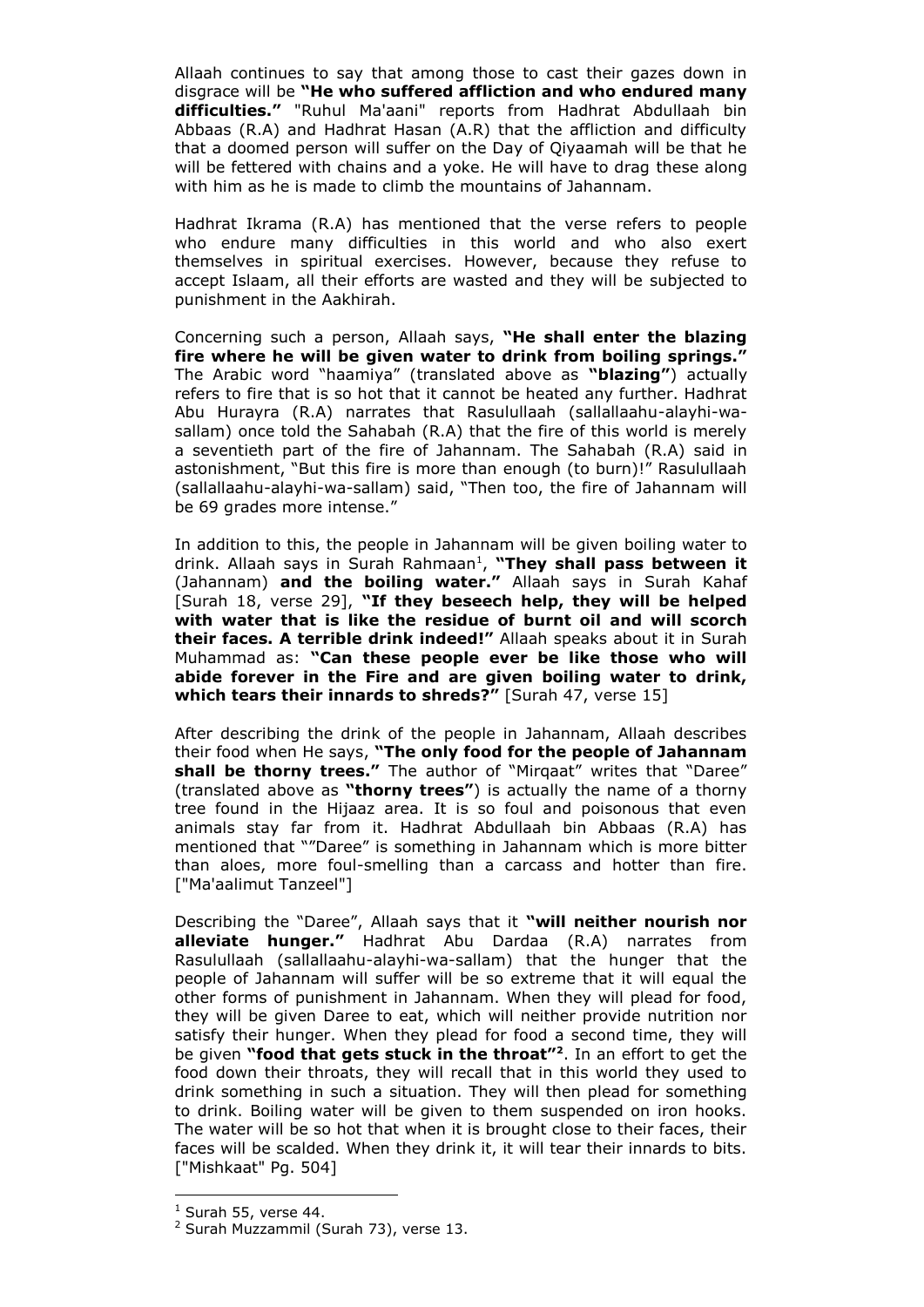Allaah continues to say that among those to cast their gazes down in disgrace will be **"He who suffered affliction and who endured many difficulties."** "Ruhul Ma'aani" reports from Hadhrat Abdullaah bin Abbaas (R.A) and Hadhrat Hasan (A.R) that the affliction and difficulty that a doomed person will suffer on the Day of Qiyaamah will be that he will be fettered with chains and a yoke. He will have to drag these along with him as he is made to climb the mountains of Jahannam.

Hadhrat Ikrama (R.A) has mentioned that the verse refers to people who endure many difficulties in this world and who also exert themselves in spiritual exercises. However, because they refuse to accept Islaam, all their efforts are wasted and they will be subjected to punishment in the Aakhirah.

Concerning such a person, Allaah says, **"He shall enter the blazing fire where he will be given water to drink from boiling springs."**  The Arabic word "haamiya" (translated above as **"blazing"**) actually refers to fire that is so hot that it cannot be heated any further. Hadhrat Abu Hurayra (R.A) narrates that Rasulullaah (sallallaahu-alayhi-wasallam) once told the Sahabah (R.A) that the fire of this world is merely a seventieth part of the fire of Jahannam. The Sahabah (R.A) said in astonishment, "But this fire is more than enough (to burn)!" Rasulullaah (sallallaahu-alayhi-wa-sallam) said, "Then too, the fire of Jahannam will be 69 grades more intense."

In addition to this, the people in Jahannam will be given boiling water to drink. Allaah says in Surah Rahmaan<sup>1</sup>, "They shall pass between it (Jahannam) **and the boiling water."** Allaah says in Surah Kahaf [Surah 18, verse 29], **"If they beseech help, they will be helped with water that is like the residue of burnt oil and will scorch their faces. A terrible drink indeed!"** Allaah speaks about it in Surah Muhammad as: **"Can these people ever be like those who will abide forever in the Fire and are given boiling water to drink, which tears their innards to shreds?"** [Surah 47, verse 15]

After describing the drink of the people in Jahannam, Allaah describes their food when He says, **"The only food for the people of Jahannam**  shall be thorny trees." The author of "Mirgaat" writes that "Daree" (translated above as **"thorny trees"**) is actually the name of a thorny tree found in the Hijaaz area. It is so foul and poisonous that even animals stay far from it. Hadhrat Abdullaah bin Abbaas (R.A) has mentioned that ""Daree" is something in Jahannam which is more bitter than aloes, more foul-smelling than a carcass and hotter than fire. ["Ma'aalimut Tanzeel"]

Describing the "Daree", Allaah says that it **"will neither nourish nor alleviate hunger."** Hadhrat Abu Dardaa (R.A) narrates from Rasulullaah (sallallaahu-alayhi-wa-sallam) that the hunger that the people of Jahannam will suffer will be so extreme that it will equal the other forms of punishment in Jahannam. When they will plead for food, they will be given Daree to eat, which will neither provide nutrition nor satisfy their hunger. When they plead for food a second time, they will be given **"food that gets stuck in the throat"<sup>2</sup>** . In an effort to get the food down their throats, they will recall that in this world they used to drink something in such a situation. They will then plead for something to drink. Boiling water will be given to them suspended on iron hooks. The water will be so hot that when it is brought close to their faces, their faces will be scalded. When they drink it, it will tear their innards to bits. ["Mishkaat" Pg. 504]

-

 $<sup>1</sup>$  Surah 55, verse 44.</sup>

<sup>&</sup>lt;sup>2</sup> Surah Muzzammil (Surah 73), verse 13.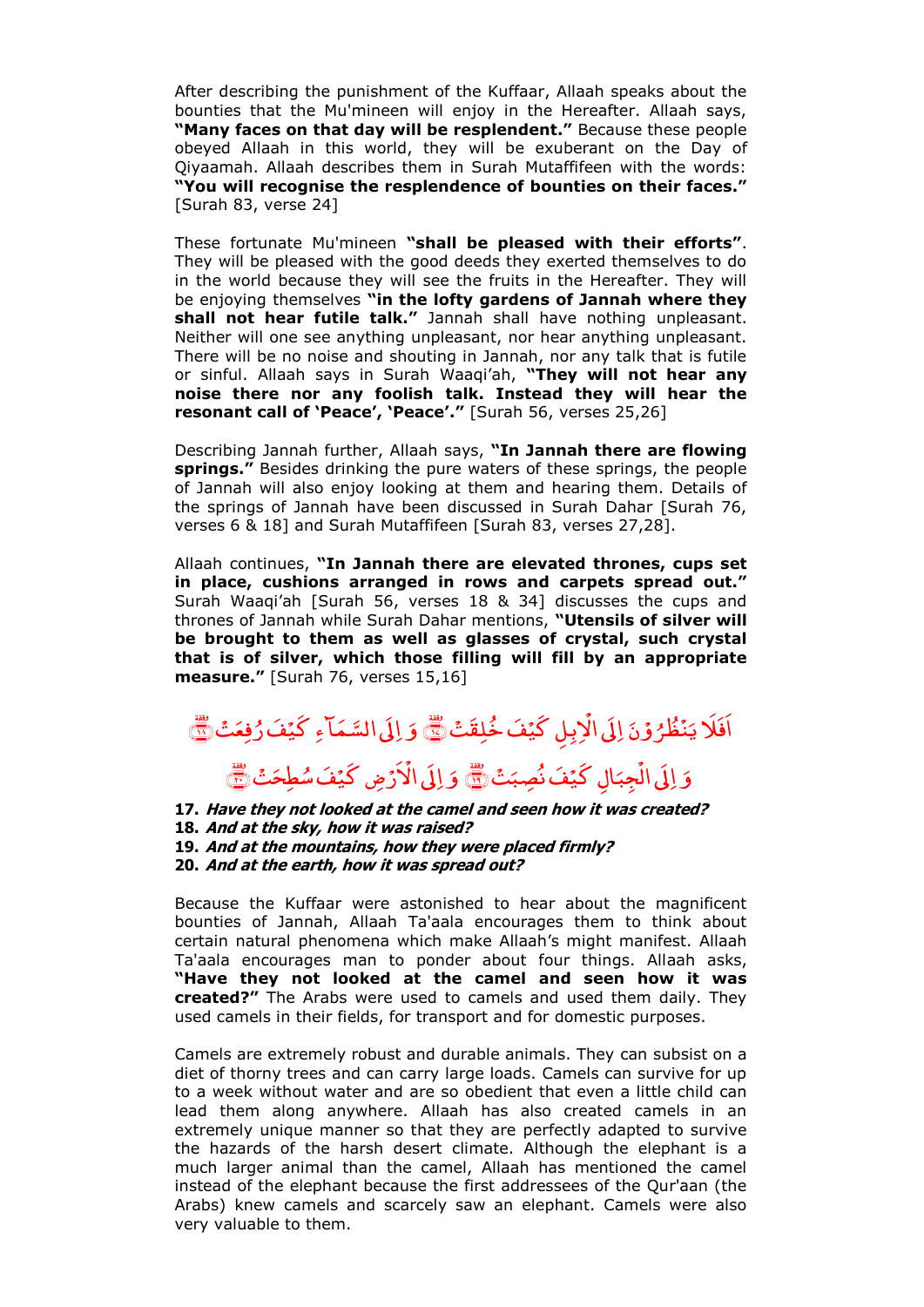After describing the punishment of the Kuffaar, Allaah speaks about the bounties that the Mu'mineen will enjoy in the Hereafter. Allaah says, **"Many faces on that day will be resplendent."** Because these people obeyed Allaah in this world, they will be exuberant on the Day of Qiyaamah. Allaah describes them in Surah Mutaffifeen with the words: **"You will recognise the resplendence of bounties on their faces."**  [Surah 83, verse 24]

These fortunate Mu'mineen **"shall be pleased with their efforts"**. They will be pleased with the good deeds they exerted themselves to do in the world because they will see the fruits in the Hereafter. They will be enjoying themselves **"in the lofty gardens of Jannah where they shall not hear futile talk."** Jannah shall have nothing unpleasant. Neither will one see anything unpleasant, nor hear anything unpleasant. There will be no noise and shouting in Jannah, nor any talk that is futile or sinful. Allaah says in Surah Waaqi'ah, **"They will not hear any noise there nor any foolish talk. Instead they will hear the resonant call of "Peace", "Peace"."** [Surah 56, verses 25,26]

Describing Jannah further, Allaah says, **"In Jannah there are flowing springs."** Besides drinking the pure waters of these springs, the people of Jannah will also enjoy looking at them and hearing them. Details of the springs of Jannah have been discussed in Surah Dahar [Surah 76, verses 6 & 18] and Surah Mutaffifeen [Surah 83, verses 27,28].

Allaah continues, **"In Jannah there are elevated thrones, cups set in place, cushions arranged in rows and carpets spread out."**  Surah Waaqi'ah [Surah 56, verses 18 & 34] discusses the cups and thrones of Jannah while Surah Dahar mentions, **"Utensils of silver will be brought to them as well as glasses of crystal, such crystal that is of silver, which those filling will fill by an appropriate measure."** [Surah 76, verses 15,16]

## َ و<br>و ن ر<br>ر ل ُ ظ ់<br>៖ ێ اَفَلَا يَنْظُرُوْنَ إِلَى الْإِبِلِ كَيْفَ خُلِقَتْ ْ اِلَى الْإِبِلِ كَيۡفَ خُٰلِقَتۡ ۚ وَ ٱ َ وَ إِلَى السَّمَاءِ كَيْفَ رُفِعَتْ لَيْنَ َ وَ اِلَى الۡجِبَالِ كَيۡفَ نُصِبَتۡ چ<br>پ ْ اِلَى الْجِبَالِ كَيْفَ نُصِبَتْ إِنَّ َ وَ إِلَى الْأَرْضِ كَيْفَ سُطِحَتْ ْ اِلَى الْأَرْضِ كَيْفَ سُطِحَتْ ١

## **17. Have they not looked at the camel and seen how it was created? 18. And at the sky, how it was raised? 19. And at the mountains, how they were placed firmly? 20. And at the earth, how it was spread out?**

Because the Kuffaar were astonished to hear about the magnificent bounties of Jannah, Allaah Ta'aala encourages them to think about certain natural phenomena which make Allaah's might manifest. Allaah Ta'aala encourages man to ponder about four things. Allaah asks, **"Have they not looked at the camel and seen how it was created?"** The Arabs were used to camels and used them daily. They used camels in their fields, for transport and for domestic purposes.

Camels are extremely robust and durable animals. They can subsist on a diet of thorny trees and can carry large loads. Camels can survive for up to a week without water and are so obedient that even a little child can lead them along anywhere. Allaah has also created camels in an extremely unique manner so that they are perfectly adapted to survive the hazards of the harsh desert climate. Although the elephant is a much larger animal than the camel, Allaah has mentioned the camel instead of the elephant because the first addressees of the Qur'aan (the Arabs) knew camels and scarcely saw an elephant. Camels were also very valuable to them.